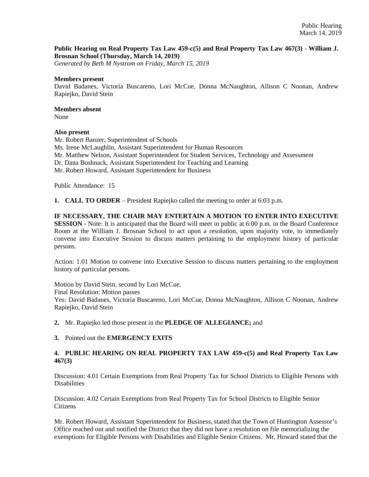#### **Public Hearing on Real Property Tax Law 459-c(5) and Real Property Tax Law 467(3) - William J. Brosnan School (Thursday, March 14, 2019)**

*Generated by Beth M Nystrom on Friday, March 15, 2019*

#### **Members present**

David Badanes, Victoria Buscareno, Lori McCue, Donna McNaughton, Allison C Noonan, Andrew Rapiejko, David Stein

# **Members absent**

None

#### **Also present**

Mr. Robert Banzer, Superintendent of Schools Ms. Irene McLaughlin, Assistant Superintendent for Human Resources Mr. Matthew Nelson, Assistant Superintendent for Student Services, Technology and Assessment Dr. Dana Boshnack, Assistant Superintendent for Teaching and Learning Mr. Robert Howard, Assistant Superintendent for Business

Public Attendance: 15

**1. CALL TO ORDER** – President Rapiejko called the meeting to order at 6:03 p.m.

#### **IF NECESSARY, THE CHAIR MAY ENTERTAIN A MOTION TO ENTER INTO EXECUTIVE**

**SESSION** - Note: It is anticipated that the Board will meet in public at 6:00 p.m. in the Board Conference Room at the William J. Brosnan School to act upon a resolution, upon majority vote, to immediately convene into Executive Session to discuss matters pertaining to the employment history of particular persons.

Action: 1.01 Motion to convene into Executive Session to discuss matters pertaining to the employment history of particular persons.

Motion by David Stein, second by Lori McCue. Final Resolution: Motion passes Yes: David Badanes, Victoria Buscareno, Lori McCue, Donna McNaughton, Allison C Noonan, Andrew Rapiejko, David Stein

**2.** Mr. Rapiejko led those present in the **PLEDGE OF ALLEGIANCE;** and

#### **3.** Pointed out the **EMERGENCY EXITS**

### **4. PUBLIC HEARING ON REAL PROPERTY TAX LAW 459-c(5) and Real Property Tax Law 467(3)**

Discussion: 4.01 Certain Exemptions from Real Property Tax for School Districts to Eligible Persons with **Disabilities** 

Discussion: 4.02 Certain Exemptions from Real Property Tax for School Districts to Eligible Senior Citizens

Mr. Robert Howard, Assistant Superintendent for Business, stated that the Town of Huntington Assessor's Office reached out and notified the District that they did not have a resolution on file memorializing the exemptions for Eligible Persons with Disabilities and Eligible Senior Citizens. Mr. Howard stated that the